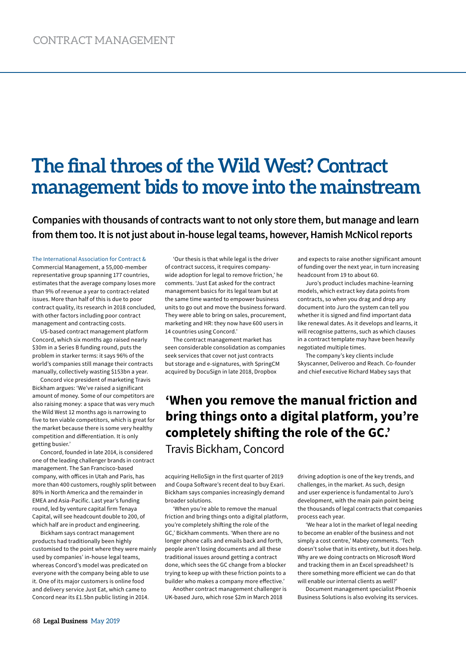## **The final throes of the Wild West? Contract management bids to move into the mainstream**

**Companies with thousands of contracts want to not only store them, but manage and learn from them too. It is not just about in-house legal teams, however, Hamish McNicol reports**

The International Association for Contract & Commercial Management, a 55,000-member representative group spanning 177 countries, estimates that the average company loses more than 9% of revenue a year to contract-related issues. More than half of this is due to poor contract quality, its research in 2018 concluded, with other factors including poor contract management and contracting costs.

US-based contract management platform Concord, which six months ago raised nearly \$30m in a Series B funding round, puts the problem in starker terms: it says 96% of the world's companies still manage their contracts manually, collectively wasting \$153bn a year.

Concord vice president of marketing Travis Bickham argues: 'We've raised a significant amount of money. Some of our competitors are also raising money: a space that was very much the Wild West 12 months ago is narrowing to five to ten viable competitors, which is great for the market because there is some very healthy competition and differentiation. It is only getting busier.'

Concord, founded in late 2014, is considered one of the leading challenger brands in contract management. The San Francisco-based company, with offices in Utah and Paris, has more than 400 customers, roughly split between 80% in North America and the remainder in EMEA and Asia-Pacific. Last year's funding round, led by venture capital firm Tenaya Capital, will see headcount double to 200, of which half are in product and engineering.

Bickham says contract management products had traditionally been highly customised to the point where they were mainly used by companies' in-house legal teams, whereas Concord's model was predicated on everyone with the company being able to use it. One of its major customers is online food and delivery service Just Eat, which came to Concord near its £1.5bn public listing in 2014.

'Our thesis is that while legal is the driver of contract success, it requires companywide adoption for legal to remove friction,' he comments. 'Just Eat asked for the contract management basics for its legal team but at the same time wanted to empower business units to go out and move the business forward. They were able to bring on sales, procurement, marketing and HR: they now have 600 users in 14 countries using Concord.'

The contract management market has seen considerable consolidation as companies seek services that cover not just contracts but storage and e-signatures, with SpringCM acquired by DocuSign in late 2018, Dropbox

and expects to raise another significant amount of funding over the next year, in turn increasing headcount from 19 to about 60.

Juro's product includes machine-learning models, which extract key data points from contracts, so when you drag and drop any document into Juro the system can tell you whether it is signed and find important data like renewal dates. As it develops and learns, it will recognise patterns, such as which clauses in a contract template may have been heavily negotiated multiple times.

The company's key clients include Skyscanner, Deliveroo and Reach. Co-founder and chief executive Richard Mabey says that

## **'When you remove the manual friction and bring things onto a digital platform, you're completely shifting the role of the GC.'**

Travis Bickham, Concord

acquiring HelloSign in the first quarter of 2019 and Coupa Software's recent deal to buy Exari. Bickham says companies increasingly demand broader solutions.

'When you're able to remove the manual friction and bring things onto a digital platform, you're completely shifting the role of the GC,' Bickham comments. 'When there are no longer phone calls and emails back and forth, people aren't losing documents and all these traditional issues around getting a contract done, which sees the GC change from a blocker trying to keep up with these friction points to a builder who makes a company more effective.'

Another contract management challenger is UK-based Juro, which rose \$2m in March 2018

driving adoption is one of the key trends, and challenges, in the market. As such, design and user experience is fundamental to Juro's development, with the main pain point being the thousands of legal contracts that companies process each year.

'We hear a lot in the market of legal needing to become an enabler of the business and not simply a cost centre,' Mabey comments. 'Tech doesn't solve that in its entirety, but it does help. Why are we doing contracts on Microsoft Word and tracking them in an Excel spreadsheet? Is there something more efficient we can do that will enable our internal clients as well?'

Document management specialist Phoenix Business Solutions is also evolving its services.